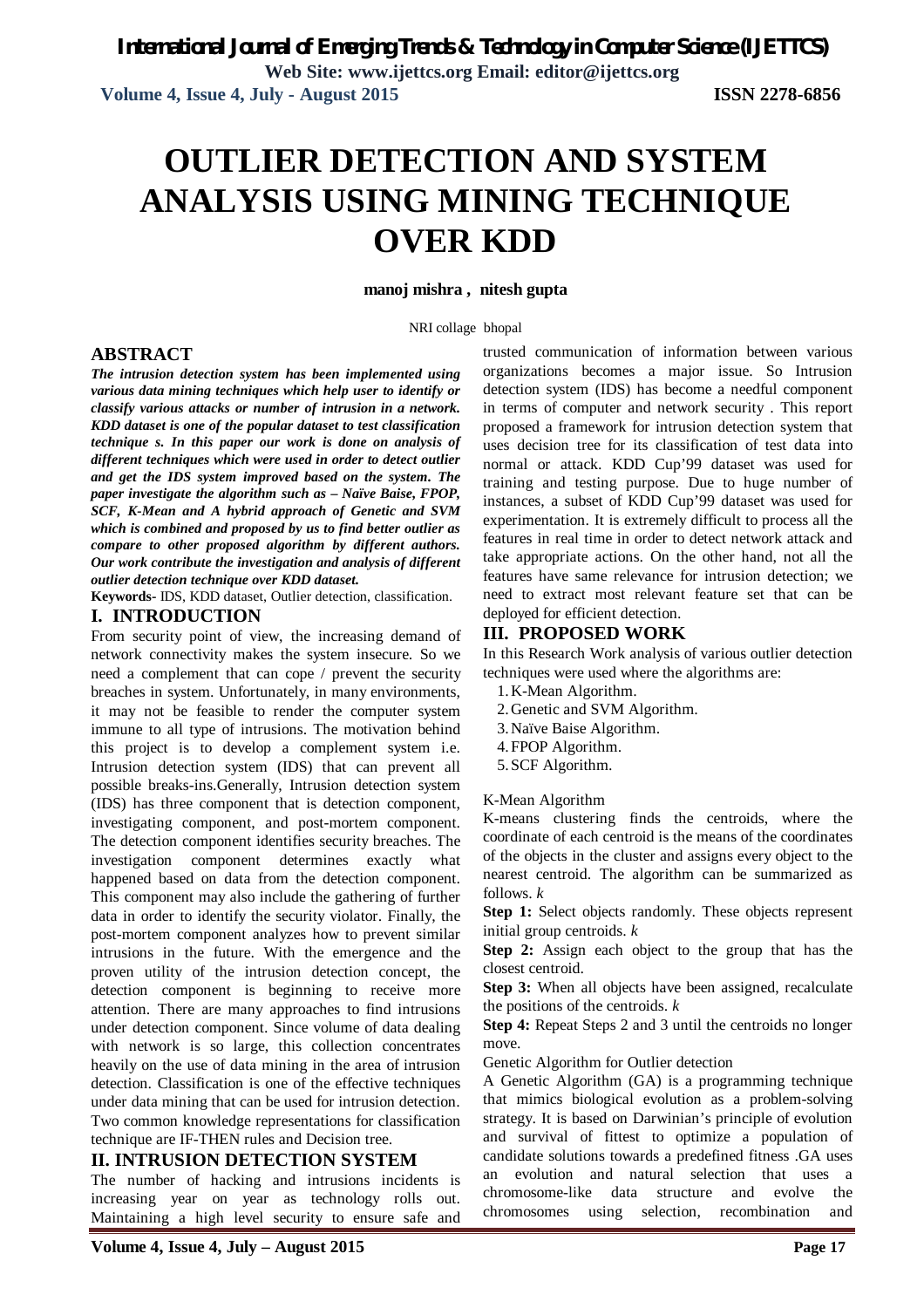**Volume 4, Issue 4, July - August 2015 ISSN 2278-6856**

# **OUTLIER DETECTION AND SYSTEM ANALYSIS USING MINING TECHNIQUE OVER KDD**

**manoj mishra , nitesh gupta**

NRI collage bhopal

#### **ABSTRACT**

*The intrusion detection system has been implemented using various data mining techniques which help user to identify or classify various attacks or number of intrusion in a network. KDD dataset is one of the popular dataset to test classification technique s. In this paper our work is done on analysis of different techniques which were used in order to detect outlier and get the IDS system improved based on the system. The paper investigate the algorithm such as – Naïve Baise, FPOP, SCF, K-Mean and A hybrid approach of Genetic and SVM which is combined and proposed by us to find better outlier as compare to other proposed algorithm by different authors. Our work contribute the investigation and analysis of different outlier detection technique over KDD dataset.*

**Keywords-** IDS, KDD dataset, Outlier detection, classification.

# **I. INTRODUCTION**

From security point of view, the increasing demand of network connectivity makes the system insecure. So we need a complement that can cope / prevent the security breaches in system. Unfortunately, in many environments, it may not be feasible to render the computer system immune to all type of intrusions. The motivation behind this project is to develop a complement system i.e. Intrusion detection system (IDS) that can prevent all possible breaks-ins.Generally, Intrusion detection system (IDS) has three component that is detection component, investigating component, and post-mortem component. The detection component identifies security breaches. The investigation component determines exactly what happened based on data from the detection component. This component may also include the gathering of further data in order to identify the security violator. Finally, the post-mortem component analyzes how to prevent similar intrusions in the future. With the emergence and the proven utility of the intrusion detection concept, the detection component is beginning to receive more attention. There are many approaches to find intrusions under detection component. Since volume of data dealing with network is so large, this collection concentrates heavily on the use of data mining in the area of intrusion detection. Classification is one of the effective techniques under data mining that can be used for intrusion detection. Two common knowledge representations for classification technique are IF-THEN rules and Decision tree.

# **II. INTRUSION DETECTION SYSTEM**

The number of hacking and intrusions incidents is increasing year on year as technology rolls out. Maintaining a high level security to ensure safe and trusted communication of information between various organizations becomes a major issue. So Intrusion detection system (IDS) has become a needful component in terms of computer and network security . This report proposed a framework for intrusion detection system that uses decision tree for its classification of test data into normal or attack. KDD Cup'99 dataset was used for training and testing purpose. Due to huge number of instances, a subset of KDD Cup'99 dataset was used for experimentation. It is extremely difficult to process all the features in real time in order to detect network attack and take appropriate actions. On the other hand, not all the features have same relevance for intrusion detection; we need to extract most relevant feature set that can be deployed for efficient detection.

## **III. PROPOSED WORK**

In this Research Work analysis of various outlier detection techniques were used where the algorithms are:

- 1.K-Mean Algorithm.
- 2.Genetic and SVM Algorithm.
- 3.Naïve Baise Algorithm.
- 4.FPOP Algorithm.
- 5.SCF Algorithm.

K-Mean Algorithm

K-means clustering finds the centroids, where the coordinate of each centroid is the means of the coordinates of the objects in the cluster and assigns every object to the nearest centroid. The algorithm can be summarized as follows. *k*

**Step 1:** Select objects randomly. These objects represent initial group centroids. *k*

**Step 2:** Assign each object to the group that has the closest centroid.

**Step 3:** When all objects have been assigned, recalculate the positions of the centroids. *k*

**Step 4:** Repeat Steps 2 and 3 until the centroids no longer move.

Genetic Algorithm for Outlier detection

A Genetic Algorithm (GA) is a programming technique that mimics biological evolution as a problem-solving strategy. It is based on Darwinian's principle of evolution and survival of fittest to optimize a population of candidate solutions towards a predefined fitness .GA uses an evolution and natural selection that uses a chromosome-like data structure and evolve the chromosomes using selection, recombination and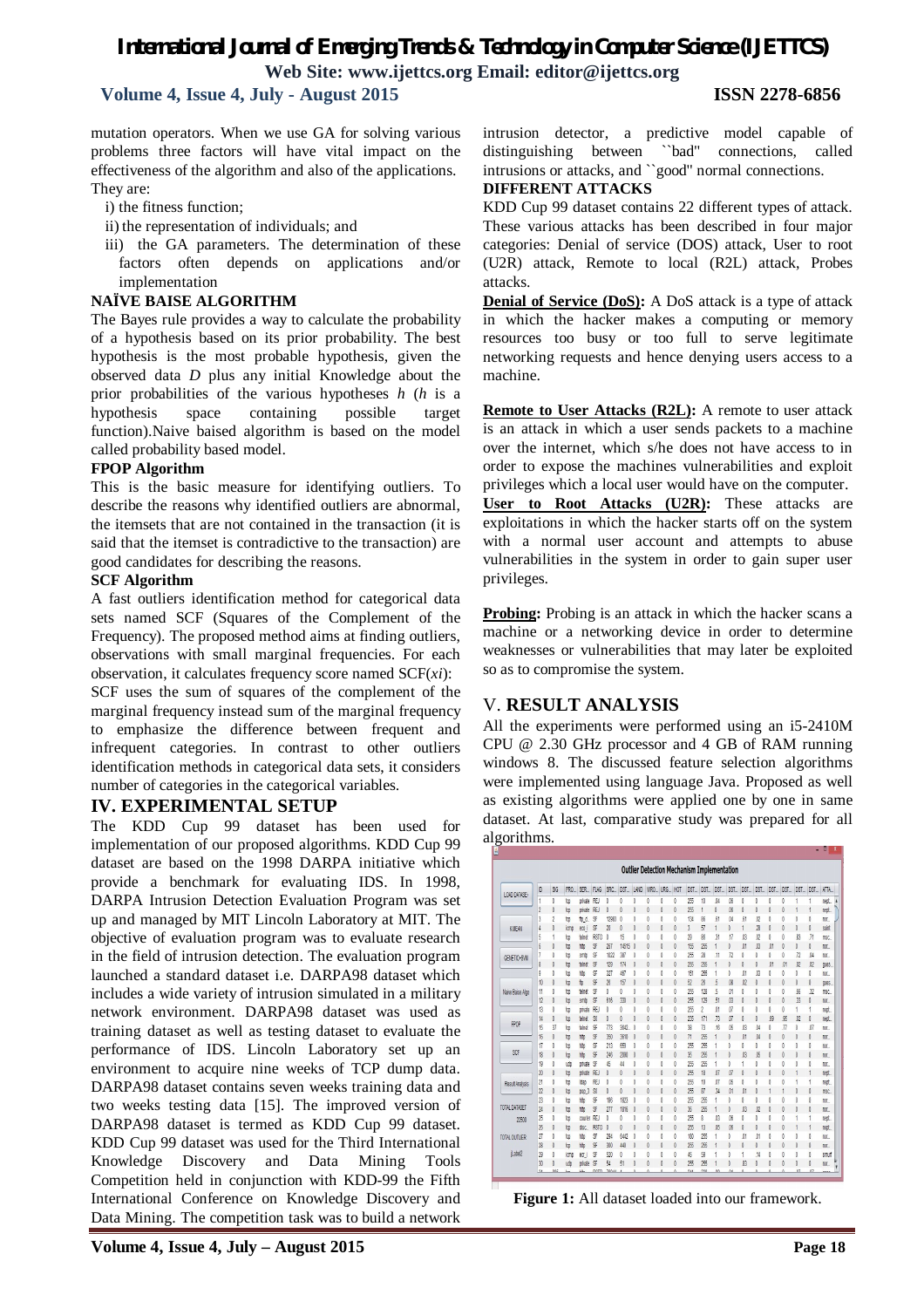# *International Journal of Emerging Trends & Technology in Computer Science (IJETTCS)* **Web Site: www.ijettcs.org Email: editor@ijettcs.org**

# **Volume 4, Issue 4, July - August 2015 ISSN 2278-6856**

mutation operators. When we use GA for solving various problems three factors will have vital impact on the effectiveness of the algorithm and also of the applications. They are:

- i) the fitness function;
- ii) the representation of individuals; and
- iii) the GA parameters. The determination of these factors often depends on applications and/or implementation

#### **NAÏVE BAISE ALGORITHM**

The Bayes rule provides a way to calculate the probability of a hypothesis based on its prior probability. The best hypothesis is the most probable hypothesis, given the observed data *D* plus any initial Knowledge about the prior probabilities of the various hypotheses *h* (*h* is a hypothesis space containing possible target function).Naive baised algorithm is based on the model called probability based model.

#### **FPOP Algorithm**

This is the basic measure for identifying outliers. To describe the reasons why identified outliers are abnormal, the itemsets that are not contained in the transaction (it is said that the itemset is contradictive to the transaction) are good candidates for describing the reasons.

#### **SCF Algorithm**

A fast outliers identification method for categorical data sets named SCF (Squares of the Complement of the Frequency). The proposed method aims at finding outliers, observations with small marginal frequencies. For each observation, it calculates frequency score named SCF(*xi*):

SCF uses the sum of squares of the complement of the marginal frequency instead sum of the marginal frequency to emphasize the difference between frequent and infrequent categories. In contrast to other outliers identification methods in categorical data sets, it considers number of categories in the categorical variables.

## **IV. EXPERIMENTAL SETUP**

The KDD Cup 99 dataset has been used for implementation of our proposed algorithms. KDD Cup 99 dataset are based on the 1998 DARPA initiative which provide a benchmark for evaluating IDS. In 1998, DARPA Intrusion Detection Evaluation Program was set up and managed by MIT Lincoln Laboratory at MIT. The objective of evaluation program was to evaluate research in the field of intrusion detection. The evaluation program launched a standard dataset i.e. DARPA98 dataset which includes a wide variety of intrusion simulated in a military network environment. DARPA98 dataset was used as training dataset as well as testing dataset to evaluate the performance of IDS. Lincoln Laboratory set up an environment to acquire nine weeks of TCP dump data. DARPA98 dataset contains seven weeks training data and two weeks testing data [15]. The improved version of DARPA98 dataset is termed as KDD Cup 99 dataset. KDD Cup 99 dataset was used for the Third International Knowledge Discovery and Data Mining Tools Competition held in conjunction with KDD-99 the Fifth International Conference on Knowledge Discovery and Data Mining. The competition task was to build a network

intrusion detector, a predictive model capable of distinguishing between ``bad'' connections, called intrusions or attacks, and ``good'' normal connections.

#### **DIFFERENT ATTACKS**

KDD Cup 99 dataset contains 22 different types of attack. These various attacks has been described in four major categories: Denial of service (DOS) attack, User to root (U2R) attack, Remote to local (R2L) attack, Probes attacks.

**Denial of Service (DoS):** A DoS attack is a type of attack in which the hacker makes a computing or memory resources too busy or too full to serve legitimate networking requests and hence denying users access to a machine.

**Remote to User Attacks (R2L):** A remote to user attack is an attack in which a user sends packets to a machine over the internet, which s/he does not have access to in order to expose the machines vulnerabilities and exploit privileges which a local user would have on the computer. **User to Root Attacks (U2R):** These attacks are exploitations in which the hacker starts off on the system with a normal user account and attempts to abuse vulnerabilities in the system in order to gain super user privileges.

**Probing:** Probing is an attack in which the hacker scans a machine or a networking device in order to determine weaknesses or vulnerabilities that may later be exploited so as to compromise the system.

## V. **RESULT ANALYSIS**

All the experiments were performed using an i5-2410M CPU @ 2.30 GHz processor and 4 GB of RAM running windows 8. The discussed feature selection algorithms were implemented using language Java. Proposed as well as existing algorithms were applied one by one in same dataset. At last, comparative study was prepared for all algorithms.

|                  |                |                |      |             |              |                 |                |             |      |      |     |      |                | <b>Outlier Detection Mechanism Implementation</b> |                |                |                |          |                |                     |                |              |
|------------------|----------------|----------------|------|-------------|--------------|-----------------|----------------|-------------|------|------|-----|------|----------------|---------------------------------------------------|----------------|----------------|----------------|----------|----------------|---------------------|----------------|--------------|
| LOAD DATASE-     | D              | SIG            | PRO. | SER.        | <b>FLAG</b>  | SRC.            | DST.           | <b>LAND</b> | WRO. | URG. | HOT | DST. | DST.           | DST.                                              | DST.           | DST.           | DST.           | DST.     | DST.           | DST.                | DST.           | ATTA.        |
|                  | 1              | 0              | to   | orivate REJ |              | Ō               | Ō              | 0           | 0    | Ō    | ō   | 255  | 10             | M                                                 | ,06            | Ō              | 0              | Ō        | ð              |                     |                | nect.        |
|                  | $\overline{c}$ | $\theta$       | to   | orivate RE. |              | Ō               | $\overline{0}$ | $\theta$    | Ō    | 0    | Ï   | 255  | 1              | $\theta$                                          | 06             | ō              | $\theta$       | $\theta$ | đ              |                     |                | nept.        |
|                  | 3              | $\overline{c}$ | to   | fb d        | SF           | 12983           | 0              | 0           | 0    | 0    | ö   | 134  | 86             | $51$                                              | $\mathbb{M}$   | 61             | $\omega$       | 0        | Ō              | Ō                   | 0              | no.          |
| <b>KNEW</b>      | 4              | $\theta$       | icmo | eco i       | SF           | 20              | 0              | $\theta$    | 0    | 0    | ō   | 3    | 57             |                                                   | 0              | 1              | 23             | 0        | ô              | 0                   | Ö              | saint        |
|                  | 5              |                | to   | telnet      | <b>RSTO</b>  | 0               | 15             | 0           | 0    | 0    | ō   | 29   | 86             | 31                                                | $\overline{1}$ | .03            | $\omega$       | 0        | ō              | 83                  | J <sub>1</sub> | msc.         |
|                  | 6              | 0              | to   | htp         | SF           | 267             | 14515          | $\theta$    | O    | 0    | ō   | 155  | 255            | 1                                                 | 0              | .01            | œ              | O1       | 0              | 0                   | 0              | nor          |
| GENETIC+SWI      |                | 0              | to   | smto        | SF           | 1022            | 387            | 0           | 0    | 0    | ŏ   | 255  | 28             | $\overline{11}$                                   | J2             | 0              | ō              | 0        | Ō              | $\overline{\Omega}$ | $\mathbf{M}$   | nor.         |
|                  | 8              | 0              | to   | telnet      | SF           | 12 <sub>3</sub> | 174            | 0           | O    | O    | O   | 255  | 255            | 1                                                 | 0              | 0              | O              | O1       | .01            | $\overline{M}$      | .co            | <b>QUES.</b> |
|                  | 9              | 0              | to   | htp         | s            | 327             | 467            | 0           | 0    | 0    | ō   | 151  | 255            | 1                                                 | 0              | 01             | $\mathfrak{g}$ | 0        | ō              | 0                   | 0              | nor.         |
|                  | 10             | 0              | to   | ñ           | \$F          | 26              | 157            | 0           | 0    | 0    | O   | 52   | 26             | 5                                                 | .08            | $\Omega$       | 0              | 0        | Q              | 0                   | 0              | <b>QUAS.</b> |
| Naive Baise Algo | 11             | 0              | to   | teinet      | SF           | Ō               | 0              | Ô           | 0    | 0    | ō   | 255  | 128            | 5                                                 | .O1            | ō              | ō              | 0        | Ō              | .66                 | $\mathfrak{A}$ | msc.         |
|                  | 12             | 0              | top  | smtp        | SF           | 616             | 30             | 0           | Ō    | 0    | O   | 255  | 129            | 51                                                | $\mathfrak{g}$ | 0              | O              | 0        | Ō              | 33                  | 0              | 10.          |
|                  | 13             | $\theta$       | to   | orivate     | RE.          | Ò               | Ō              | 0           | 0    | 0    | t   | 255  | $\overline{2}$ | û                                                 | $\overline{0}$ | Ō              | Ö              | Ö        | ŏ              |                     | 1              | neot.        |
| FPOP             | 14             | 0              | top  | telnet      | $\mathbf{S}$ | 0               | 0              | $\theta$    | Ō    | 0    | 0   | 235  | 171            | $\overline{13}$                                   | $\sqrt{0}$     | 0              | 0              | 69       | 95             | $\overline{w}$      | 0              | nept.        |
|                  | 15             | 37             | top  | telnet      | s            | 773             | 3642           | $\theta$    | 0    | 0    | ö   | 38   | 73             | 16                                                | .06            | $\omega$       | 04             | 0        | $\overline{B}$ | 0                   | $\overline{0}$ | nor          |
|                  | 16             | 0              | to   | hto         | SF           | 350             | 3610           | $\theta$    | 0    | 0    | Ō   | 71   | 255            | 1                                                 | 0              | $\mathfrak{N}$ | $\mathfrak{a}$ | 0        | Ō              | 0                   | 0              | 10.          |
|                  | 17             | 0              | top  | htp         | SF           | 213             | 659            | 0           | 0    | 0    | ō   | 255  | 255            | 1                                                 | 0              | Ō              | ō              | 0        | Ō              | 0                   | 0              | nor          |
| SCF              | 18             | 0              | to   | hto         | SF           | 245             | 2090           | 0           | 0    | 0    | ō   | 35   | 255            | 1                                                 | 0              | .03            | œ              | 0        | ō              | 0                   | 0              | 10.          |
|                  | 19             | 0              | udo  | orivate     | SF           | 45              | 44             | 0           | 0    | 0    | ō   | 255  | 255            | 1                                                 | 0              | 1              | Ō              | 0        | Ō              | 0                   | 0              | nor.         |
|                  | 20             | 0              | top  | orivate REJ |              | 0               | 0              | 0           | 0    | 0    | O   | 255  | 18             | $\overline{M}$                                    | $\sqrt{0}$     | ō              | ō              | 0        | 0              |                     | 1              | nept         |
| Result Analysis  | 21             | 0              | top  | ldan        | <b>REJ</b>   | Ō               | 0              | $\theta$    | 0    | 0    | ō   | 255  | 19             | J7                                                | $\sqrt{6}$     | Ō              | Ō              | $\theta$ | Ő              |                     |                | neot         |
|                  | $\overline{2}$ | 0              | top  | pop 3       | $\mathbf{S}$ | 0               | 0              | 0           | 0    | 0    | ō   | 255  | 87             | $\overline{\mathcal{Y}}$                          | $\mathfrak{g}$ | $\mathfrak{g}$ | 0              | 1        | 1              | $\theta$            | Ō              | msc.         |
|                  | $\overline{c}$ | 0              | to   | htp         | SF           | 195             | 1823           | 0           | 0    | 0    | ō   | 255  | 255            | 1                                                 | 0              | Ō              | Ō              | 0        | Ō              | $\theta$            | 0              | nor          |
| TOTAL DATASET    | 24             | $\theta$       | to   | hto         | SF           | 277             | 1816           | $\theta$    | 0    | 0    | ö   | 36   | 255            | 1                                                 | 0              | $\mathfrak{g}$ | $\omega$       | 0        | ô              | Ō                   | 0              | 10.          |
| 22500            | 25             | 0              | top  | couner      | RE.          | Ō               | Ō              | 0           | 0    | 0    | ō   | 255  | 8              | O.                                                | $\sqrt{6}$     | Ō              | O              | Ō        | Ő              |                     | 1              | nept         |
|                  | 26             | 0              | top  | disc.       | <b>RSTO</b>  | $\theta$        | 0              | $\theta$    | Ō    | 0    | ö   | 255  | 13             | 16                                                | .06            | ō              | $\theta$       | $\theta$ | ô              |                     |                | nept.        |
| TOTAL OUTLIER    | 27             | 0              | top  | htp         | SF           | 294             | 6442           | 0           | 0    | 0    | ō   | 18   | 255            |                                                   | 0              | 01             | 01             | $\theta$ | Ō              | O                   | O              | nor          |
|                  | 28             | 0              | to   | htp         | s            | 301             | 440            | 0           | Ō    | 0    | ō   | 255  | 255            |                                                   | $\theta$       | ō              | 0              | 0        | ŏ              | $\theta$            | Ō              | 10.          |
| Label2           | 29             | 0              | icmo | ecr i       | \$F          | 520             | 0              | 0           | 0    | 0    | ō   | 46   | 59             |                                                   | 0              | 1              | $\overline{1}$ | $\theta$ | đ              | ō                   | 0              | smun         |
|                  | 30             | 0              | udo  | orivate     | SF           | 54              | 51             | 0           | 0    | 0    | t   | 255  | 255            |                                                   | $\theta$       | 83             | 0              | 0        | ŏ              | $\theta$            | Ō              | nor          |

**Figure 1:** All dataset loaded into our framework.